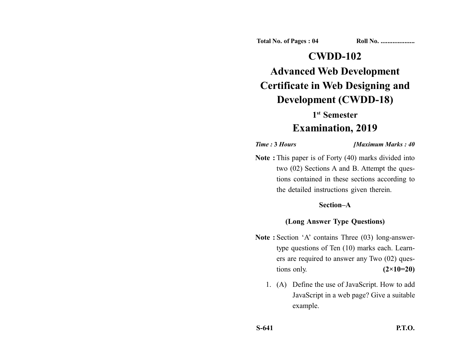**Total No. of Pages : 04 Roll No. ...................** 

# **CWDD-102 Advanced Web Development**

# **Certificate in Web Designing and Development (CWDD-18)**

### **1st Semester**

## **Examination, 2019**

#### *Time :* **3** *Hours [Maximum Marks : 40*

**Note :** This paper is of Forty (40) marks divided into two (02) Sections A and B. Attempt the questions contained in these sections according to the detailed instructions given therein.

#### **Section–A**

#### **(Long Answer Type Questions)**

- Note : Section 'A' contains Three (03) long-answertype questions of Ten (10) marks each. Learners are required to answer any Two (02) questions only. **(2×10=20)** 
	- 1. (A) Define the use of JavaScript. How to add JavaScript in a web page? Give a suitable example.